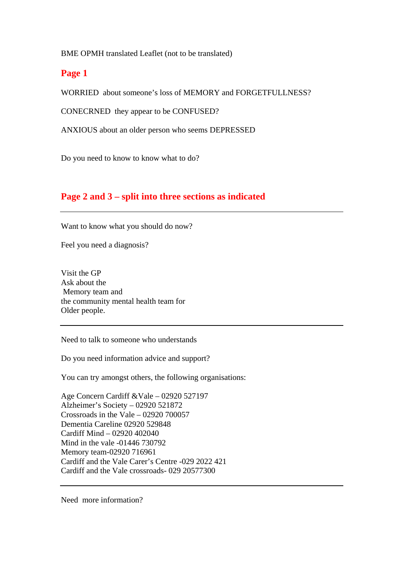BME OPMH translated Leaflet (not to be translated)

## **Page 1**

WORRIED about someone's loss of MEMORY and FORGETFULLNESS?

CONECRNED they appear to be CONFUSED?

ANXIOUS about an older person who seems DEPRESSED

Do you need to know to know what to do?

# **Page 2 and 3 – split into three sections as indicated**

Want to know what you should do now?

Feel you need a diagnosis?

Visit the GP Ask about the Memory team and the community mental health team for Older people.

Need to talk to someone who understands

Do you need information advice and support?

You can try amongst others, the following organisations:

Age Concern Cardiff &Vale – 02920 527197 Alzheimer's Society – 02920 521872 Crossroads in the Vale – 02920 700057 Dementia Careline 02920 529848 Cardiff Mind – 02920 402040 Mind in the vale -01446 730792 Memory team-02920 716961 Cardiff and the Vale Carer's Centre -029 2022 421 Cardiff and the Vale crossroads- 029 20577300

Need more information?